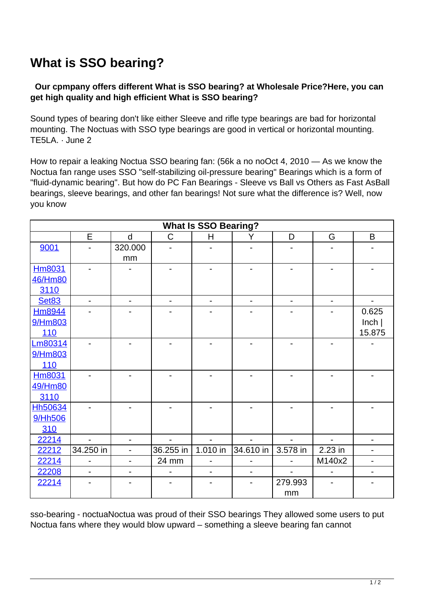## **What is SSO bearing?**

## **Our cpmpany offers different What is SSO bearing? at Wholesale Price?Here, you can get high quality and high efficient What is SSO bearing?**

Sound types of bearing don't like either Sleeve and rifle type bearings are bad for horizontal mounting. The Noctuas with SSO type bearings are good in vertical or horizontal mounting. TE5LA. · June 2

How to repair a leaking Noctua SSO bearing fan: (56k a no noOct 4, 2010 — As we know the Noctua fan range uses SSO "self-stabilizing oil-pressure bearing" Bearings which is a form of "fluid-dynamic bearing". But how do PC Fan Bearings - Sleeve vs Ball vs Others as Fast AsBall bearings, sleeve bearings, and other fan bearings! Not sure what the difference is? Well, now you know

| <b>What Is SSO Bearing?</b> |                |                              |                |                          |                |                |         |                              |  |  |
|-----------------------------|----------------|------------------------------|----------------|--------------------------|----------------|----------------|---------|------------------------------|--|--|
|                             | E              | d                            | $\mathsf{C}$   | H                        | Y              | D              | G       | B                            |  |  |
| 9001                        |                | 320.000                      |                |                          |                |                |         |                              |  |  |
|                             |                | mm                           |                |                          |                |                |         |                              |  |  |
| <b>Hm8031</b>               |                |                              |                |                          |                |                |         |                              |  |  |
| 46/Hm80                     |                |                              |                |                          |                |                |         |                              |  |  |
| 3110                        |                |                              |                |                          |                |                |         |                              |  |  |
| <b>Set83</b>                | $\blacksquare$ | $\overline{\phantom{0}}$     | $\overline{a}$ | $\overline{\phantom{0}}$ | $\blacksquare$ | $\blacksquare$ |         | $\overline{a}$               |  |  |
| <b>Hm8944</b>               |                |                              |                |                          |                |                |         | 0.625                        |  |  |
| 9/Hm803                     |                |                              |                |                          |                |                |         | lnch                         |  |  |
| 110                         |                |                              |                |                          |                |                |         | 15.875                       |  |  |
| Lm80314                     |                |                              |                |                          |                |                |         |                              |  |  |
| 9/Hm803                     |                |                              |                |                          |                |                |         |                              |  |  |
| 110                         |                |                              |                |                          |                |                |         |                              |  |  |
| <b>Hm8031</b>               |                |                              |                |                          |                |                |         |                              |  |  |
| 49/Hm80                     |                |                              |                |                          |                |                |         |                              |  |  |
| 3110                        |                |                              |                |                          |                |                |         |                              |  |  |
| Hh50634                     |                | $\overline{\phantom{0}}$     |                |                          |                |                |         |                              |  |  |
| 9/Hh506                     |                |                              |                |                          |                |                |         |                              |  |  |
| 310                         |                |                              |                |                          |                |                |         |                              |  |  |
| 22214                       |                | $\qquad \qquad \blacksquare$ |                |                          |                |                |         |                              |  |  |
| 22212                       | 34.250 in      | $\qquad \qquad \blacksquare$ | $36.255$ in    | 1.010 in                 | 34.610 in      | 3.578 in       | 2.23 in |                              |  |  |
| 22214                       |                | -                            | 24 mm          |                          |                |                | M140x2  | $\overline{\phantom{a}}$     |  |  |
| 22208                       | $\overline{a}$ | $\overline{\phantom{0}}$     |                | $\overline{a}$           | $\overline{a}$ | $\overline{a}$ |         | $\qquad \qquad \blacksquare$ |  |  |
| 22214                       |                |                              |                |                          |                | 279.993        |         |                              |  |  |
|                             |                |                              |                |                          |                | mm             |         |                              |  |  |

sso-bearing - noctuaNoctua was proud of their SSO bearings They allowed some users to put Noctua fans where they would blow upward – something a sleeve bearing fan cannot